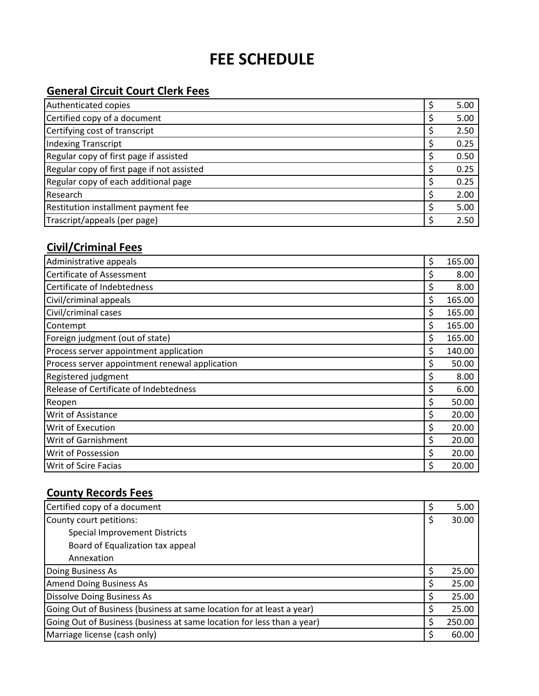# **FEE SCHEDULE**

#### **General Circuit Court Clerk Fees**

| Authenticated copies                       | 5.00 |
|--------------------------------------------|------|
| Certified copy of a document               | 5.00 |
| Certifying cost of transcript              | 2.50 |
| Indexing Transcript                        | 0.25 |
| Regular copy of first page if assisted     | 0.50 |
| Regular copy of first page if not assisted | 0.25 |
| Regular copy of each additional page       | 0.25 |
| Research                                   | 2.00 |
| Restitution installment payment fee        | 5.00 |
| Trascript/appeals (per page)               | 2.50 |

## **Civil/Criminal Fees**

| Administrative appeals                         | \$<br>165.00 |
|------------------------------------------------|--------------|
| Certificate of Assessment                      | \$<br>8.00   |
| Certificate of Indebtedness                    | \$<br>8.00   |
| Civil/criminal appeals                         | \$<br>165.00 |
| Civil/criminal cases                           | \$<br>165.00 |
| Contempt                                       | \$<br>165.00 |
| Foreign judgment (out of state)                | \$<br>165.00 |
| Process server appointment application         | \$<br>140.00 |
| Process server appointment renewal application | \$<br>50.00  |
| Registered judgment                            | \$<br>8.00   |
| Release of Certificate of Indebtedness         | \$<br>6.00   |
| Reopen                                         | \$<br>50.00  |
| Writ of Assistance                             | \$<br>20.00  |
| Writ of Execution                              | \$<br>20.00  |
| Writ of Garnishment                            | \$<br>20.00  |
| Writ of Possession                             | \$<br>20.00  |
| Writ of Scire Facias                           | \$<br>20.00  |

#### **County Records Fees**

| Certified copy of a document                                           | \$ | 5.00   |
|------------------------------------------------------------------------|----|--------|
| County court petitions:                                                | \$ | 30.00  |
| <b>Special Improvement Districts</b>                                   |    |        |
| Board of Equalization tax appeal                                       |    |        |
| Annexation                                                             |    |        |
| Doing Business As                                                      | Ś  | 25.00  |
| <b>Amend Doing Business As</b>                                         | \$ | 25.00  |
| <b>Dissolve Doing Business As</b>                                      | S  | 25.00  |
| Going Out of Business (business at same location for at least a year)  | S  | 25.00  |
| Going Out of Business (business at same location for less than a year) | \$ | 250.00 |
| Marriage license (cash only)                                           | S. | 60.00  |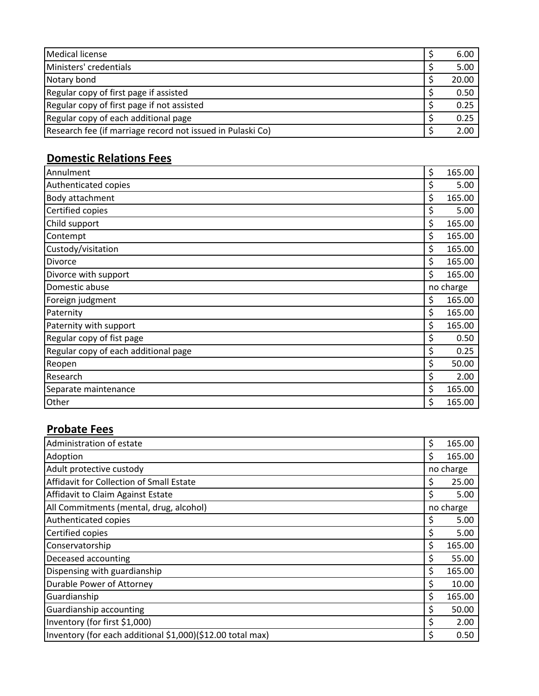| Medical license                                            | 6.00  |
|------------------------------------------------------------|-------|
| Ministers' credentials                                     | 5.00  |
| Notary bond                                                | 20.00 |
| Regular copy of first page if assisted                     | 0.50  |
| Regular copy of first page if not assisted                 | 0.25  |
| Regular copy of each additional page                       | 0.25  |
| Research fee (if marriage record not issued in Pulaski Co) | 2.00  |

## **Domestic Relations Fees**

| Annulment                            | \$<br>165.00 |
|--------------------------------------|--------------|
| Authenticated copies                 | \$<br>5.00   |
| Body attachment                      | \$<br>165.00 |
| Certified copies                     | \$<br>5.00   |
| Child support                        | \$<br>165.00 |
| Contempt                             | \$<br>165.00 |
| Custody/visitation                   | \$<br>165.00 |
| <b>Divorce</b>                       | \$<br>165.00 |
| Divorce with support                 | \$<br>165.00 |
| Domestic abuse                       | no charge    |
| Foreign judgment                     | \$<br>165.00 |
| Paternity                            | \$<br>165.00 |
| Paternity with support               | \$<br>165.00 |
| Regular copy of fist page            | \$<br>0.50   |
| Regular copy of each additional page | \$<br>0.25   |
| Reopen                               | \$<br>50.00  |
| Research                             | \$<br>2.00   |
| Separate maintenance                 | \$<br>165.00 |
| Other                                | \$<br>165.00 |

#### **Probate Fees**

| Administration of estate                                   | \$        | 165.00    |
|------------------------------------------------------------|-----------|-----------|
| Adoption                                                   | Ś         | 165.00    |
| Adult protective custody                                   |           | no charge |
| Affidavit for Collection of Small Estate                   | \$        | 25.00     |
| Affidavit to Claim Against Estate                          | \$        | 5.00      |
| All Commitments (mental, drug, alcohol)                    | no charge |           |
| Authenticated copies                                       | \$        | 5.00      |
| Certified copies                                           | \$        | 5.00      |
| Conservatorship                                            | \$        | 165.00    |
| Deceased accounting                                        | \$        | 55.00     |
| Dispensing with guardianship                               | \$        | 165.00    |
| Durable Power of Attorney                                  | \$        | 10.00     |
| Guardianship                                               | \$        | 165.00    |
| <b>Guardianship accounting</b>                             | \$        | 50.00     |
| Inventory (for first \$1,000)                              | \$        | 2.00      |
| Inventory (for each additional \$1,000)(\$12.00 total max) | \$        | 0.50      |